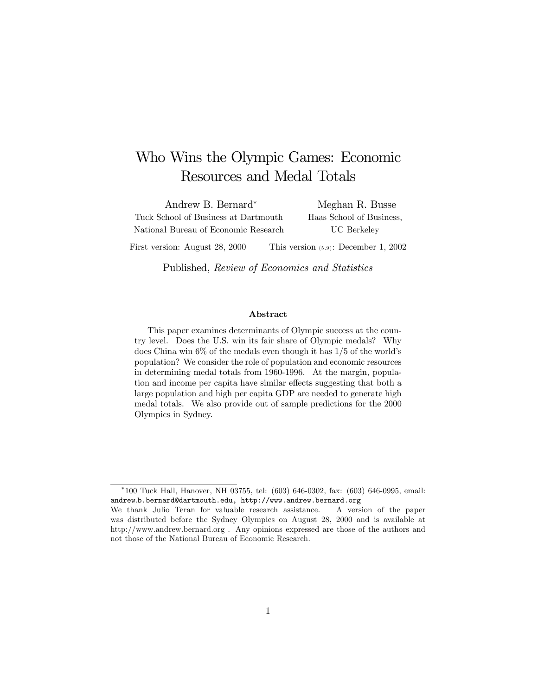# Who Wins the Olympic Games: Economic Resources and Medal Totals

Andrew B. Bernard<sup>∗</sup> Tuck School of Business at Dartmouth National Bureau of Economic Research

Meghan R. Busse Haas School of Business, UC Berkeley

First version: August 28, 2000 This version (5.9): December 1, 2002

Published, Review of Economics and Statistics

#### Abstract

This paper examines determinants of Olympic success at the country level. Does the U.S. win its fair share of Olympic medals? Why does China win 6% of the medals even though it has 1/5 of the world's population? We consider the role of population and economic resources in determining medal totals from 1960-1996. At the margin, population and income per capita have similar effects suggesting that both a large population and high per capita GDP are needed to generate high medal totals. We also provide out of sample predictions for the 2000 Olympics in Sydney.

<sup>∗</sup>100 Tuck Hall, Hanover, NH 03755, tel: (603) 646-0302, fax: (603) 646-0995, email: andrew.b.bernard@dartmouth.edu, http://www.andrew.bernard.org

We thank Julio Teran for valuable research assistance. A version of the paper was distributed before the Sydney Olympics on August 28, 2000 and is available at http://www.andrew.bernard.org . Any opinions expressed are those of the authors and not those of the National Bureau of Economic Research.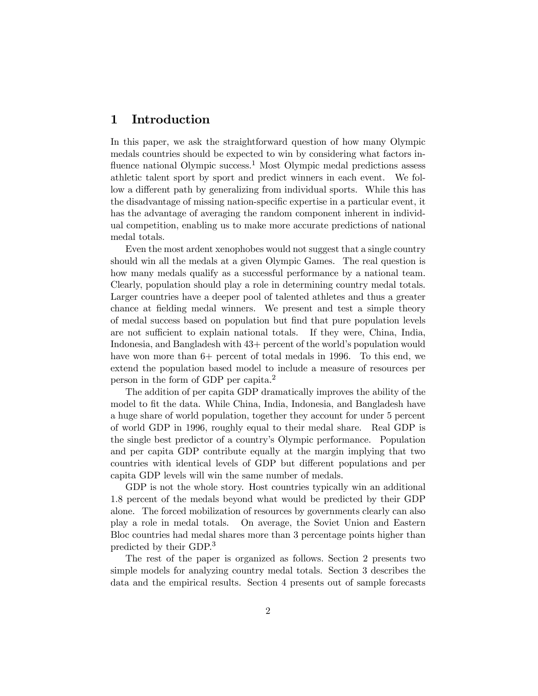# 1 Introduction

In this paper, we ask the straightforward question of how many Olympic medals countries should be expected to win by considering what factors influence national Olympic success.<sup>1</sup> Most Olympic medal predictions assess athletic talent sport by sport and predict winners in each event. We follow a different path by generalizing from individual sports. While this has the disadvantage of missing nation-specific expertise in a particular event, it has the advantage of averaging the random component inherent in individual competition, enabling us to make more accurate predictions of national medal totals.

Even the most ardent xenophobes would not suggest that a single country should win all the medals at a given Olympic Games. The real question is how many medals qualify as a successful performance by a national team. Clearly, population should play a role in determining country medal totals. Larger countries have a deeper pool of talented athletes and thus a greater chance at fielding medal winners. We present and test a simple theory of medal success based on population but find that pure population levels are not sufficient to explain national totals. If they were, China, India, Indonesia, and Bangladesh with 43+ percent of the world's population would have won more than  $6+$  percent of total medals in 1996. To this end, we extend the population based model to include a measure of resources per person in the form of GDP per capita.<sup>2</sup>

The addition of per capita GDP dramatically improves the ability of the model to fit the data. While China, India, Indonesia, and Bangladesh have a huge share of world population, together they account for under 5 percent of world GDP in 1996, roughly equal to their medal share. Real GDP is the single best predictor of a country's Olympic performance. Population and per capita GDP contribute equally at the margin implying that two countries with identical levels of GDP but different populations and per capita GDP levels will win the same number of medals.

GDP is not the whole story. Host countries typically win an additional 1.8 percent of the medals beyond what would be predicted by their GDP alone. The forced mobilization of resources by governments clearly can also play a role in medal totals. On average, the Soviet Union and Eastern Bloc countries had medal shares more than 3 percentage points higher than predicted by their GDP.<sup>3</sup>

The rest of the paper is organized as follows. Section 2 presents two simple models for analyzing country medal totals. Section 3 describes the data and the empirical results. Section 4 presents out of sample forecasts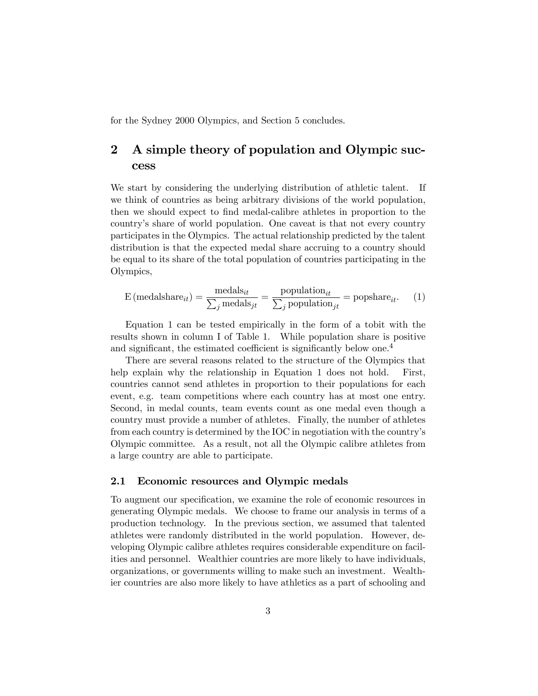for the Sydney 2000 Olympics, and Section 5 concludes.

# 2 A simple theory of population and Olympic success

We start by considering the underlying distribution of athletic talent. If we think of countries as being arbitrary divisions of the world population, then we should expect to find medal-calibre athletes in proportion to the country's share of world population. One caveat is that not every country participates in the Olympics. The actual relationship predicted by the talent distribution is that the expected medal share accruing to a country should be equal to its share of the total population of countries participating in the Olympics,

$$
E \text{ (medalshare}_{it}) = \frac{\text{medals}_{it}}{\sum_{j} \text{medals}_{jt}} = \frac{\text{population}_{it}}{\sum_{j} \text{population}_{jt}} = \text{popshare}_{it}. \tag{1}
$$

Equation 1 can be tested empirically in the form of a tobit with the results shown in column I of Table 1. While population share is positive and significant, the estimated coefficient is significantly below one.<sup>4</sup>

There are several reasons related to the structure of the Olympics that help explain why the relationship in Equation 1 does not hold. First, countries cannot send athletes in proportion to their populations for each event, e.g. team competitions where each country has at most one entry. Second, in medal counts, team events count as one medal even though a country must provide a number of athletes. Finally, the number of athletes from each country is determined by the IOC in negotiation with the country's Olympic committee. As a result, not all the Olympic calibre athletes from a large country are able to participate.

#### 2.1 Economic resources and Olympic medals

To augment our specification, we examine the role of economic resources in generating Olympic medals. We choose to frame our analysis in terms of a production technology. In the previous section, we assumed that talented athletes were randomly distributed in the world population. However, developing Olympic calibre athletes requires considerable expenditure on facilities and personnel. Wealthier countries are more likely to have individuals, organizations, or governments willing to make such an investment. Wealthier countries are also more likely to have athletics as a part of schooling and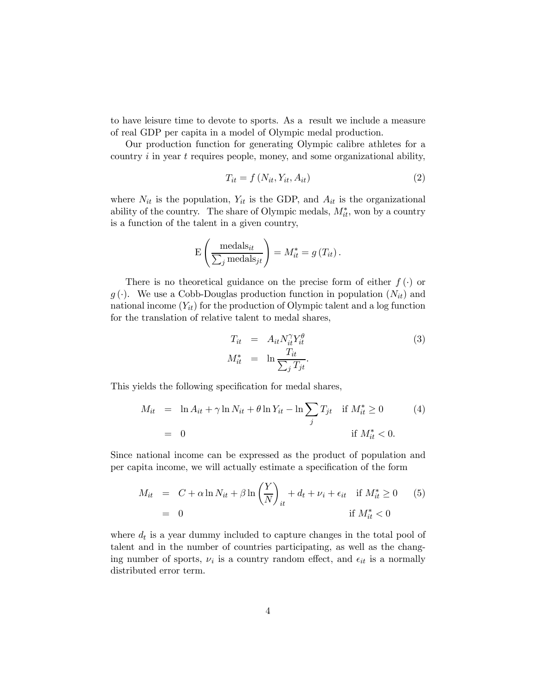to have leisure time to devote to sports. As a result we include a measure of real GDP per capita in a model of Olympic medal production.

Our production function for generating Olympic calibre athletes for a country  $i$  in year  $t$  requires people, money, and some organizational ability,

$$
T_{it} = f\left(N_{it}, Y_{it}, A_{it}\right) \tag{2}
$$

where  $N_{it}$  is the population,  $Y_{it}$  is the GDP, and  $A_{it}$  is the organizational ability of the country. The share of Olympic medals,  $M_{it}^*$ , won by a country is a function of the talent in a given country,

$$
E\left(\frac{\text{medals}_{it}}{\sum_{j} \text{medals}_{jt}}\right) = M_{it}^* = g(T_{it}).
$$

There is no theoretical guidance on the precise form of either  $f(\cdot)$  or  $g(\cdot)$ . We use a Cobb-Douglas production function in population  $(N_{it})$  and national income  $(Y_{it})$  for the production of Olympic talent and a log function for the translation of relative talent to medal shares,

$$
T_{it} = A_{it} N_{it}^{\gamma} Y_{it}^{\theta}
$$
  
\n
$$
M_{it}^{*} = \ln \frac{T_{it}}{\sum_{j} T_{jt}}.
$$
\n(3)

This yields the following specification for medal shares,

$$
M_{it} = \ln A_{it} + \gamma \ln N_{it} + \theta \ln Y_{it} - \ln \sum_{j} T_{jt} \quad \text{if } M_{it}^{*} \ge 0
$$
  
= 0 \qquad \qquad \text{if } M\_{it}^{\*} < 0.

Since national income can be expressed as the product of population and per capita income, we will actually estimate a specification of the form

$$
M_{it} = C + \alpha \ln N_{it} + \beta \ln \left(\frac{Y}{N}\right)_{it} + d_t + \nu_i + \epsilon_{it} \quad \text{if } M_{it}^* \ge 0 \qquad (5)
$$

$$
= 0 \qquad \qquad \text{if } M_{it}^* < 0
$$

where  $d_t$  is a year dummy included to capture changes in the total pool of talent and in the number of countries participating, as well as the changing number of sports,  $\nu_i$  is a country random effect, and  $\epsilon_{it}$  is a normally distributed error term.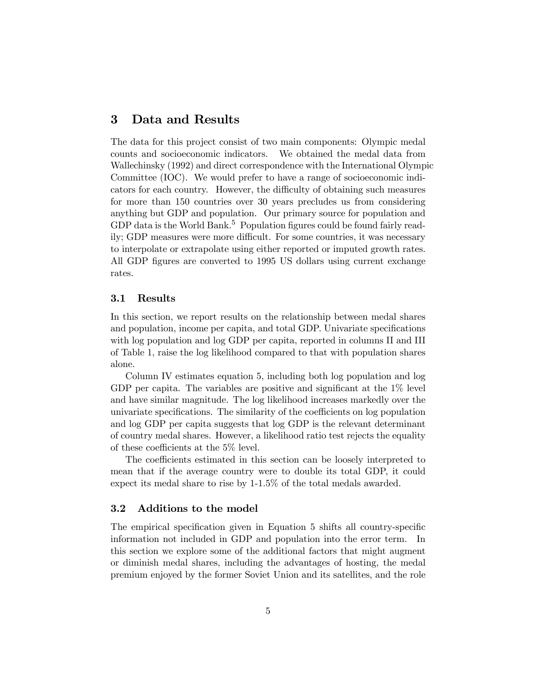### 3 Data and Results

The data for this project consist of two main components: Olympic medal counts and socioeconomic indicators. We obtained the medal data from Wallechinsky (1992) and direct correspondence with the International Olympic Committee (IOC). We would prefer to have a range of socioeconomic indicators for each country. However, the difficulty of obtaining such measures for more than 150 countries over 30 years precludes us from considering anything but GDP and population. Our primary source for population and GDP data is the World Bank.<sup>5</sup> Population figures could be found fairly readily; GDP measures were more difficult. For some countries, it was necessary to interpolate or extrapolate using either reported or imputed growth rates. All GDP figures are converted to 1995 US dollars using current exchange rates.

#### 3.1 Results

In this section, we report results on the relationship between medal shares and population, income per capita, and total GDP. Univariate specifications with log population and log GDP per capita, reported in columns II and III of Table 1, raise the log likelihood compared to that with population shares alone.

Column IV estimates equation 5, including both log population and log GDP per capita. The variables are positive and significant at the  $1\%$  level and have similar magnitude. The log likelihood increases markedly over the univariate specifications. The similarity of the coefficients on log population and log GDP per capita suggests that log GDP is the relevant determinant of country medal shares. However, a likelihood ratio test rejects the equality of these coefficients at the 5% level.

The coefficients estimated in this section can be loosely interpreted to mean that if the average country were to double its total GDP, it could expect its medal share to rise by 1-1.5% of the total medals awarded.

#### 3.2 Additions to the model

The empirical specification given in Equation 5 shifts all country-specific information not included in GDP and population into the error term. In this section we explore some of the additional factors that might augment or diminish medal shares, including the advantages of hosting, the medal premium enjoyed by the former Soviet Union and its satellites, and the role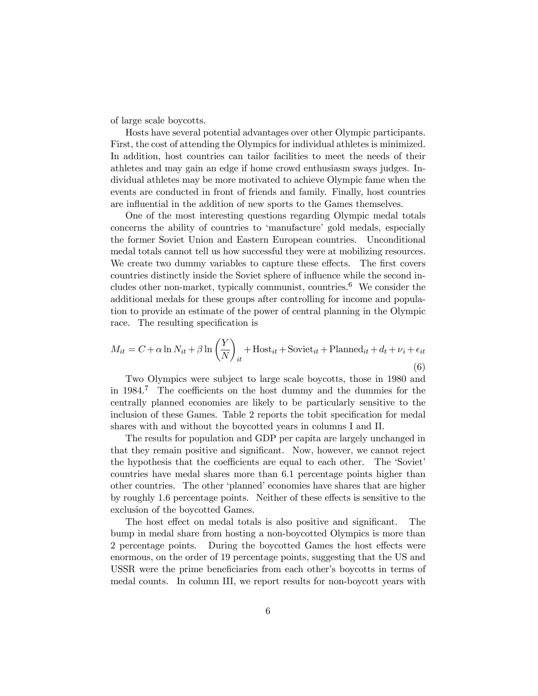of large scale boycotts.

Hosts have several potential advantages over other Olympic participants. First, the cost of attending the Olympics for individual athletes is minimized. In addition, host countries can tailor facilities to meet the needs of their athletes and may gain an edge if home crowd enthusiasm sways judges. Individual athletes may be more motivated to achieve Olympic fame when the events are conducted in front of friends and family. Finally, host countries are influential in the addition of new sports to the Games themselves.

One of the most interesting questions regarding Olympic medal totals concerns the ability of countries to 'manufacture' gold medals, especially the former Soviet Union and Eastern European countries. Unconditional medal totals cannot tell us how successful they were at mobilizing resources. We create two dummy variables to capture these effects. The first covers countries distinctly inside the Soviet sphere of influence while the second includes other non-market, typically communist, countries.<sup>6</sup> We consider the additional medals for these groups after controlling for income and population to provide an estimate of the power of central planning in the Olympic race. The resulting specification is

$$
M_{it} = C + \alpha \ln N_{it} + \beta \ln \left(\frac{Y}{N}\right)_{it} + \text{Host}_{it} + \text{Soviet}_{it} + \text{Planned}_{it} + d_t + \nu_i + \epsilon_{it}
$$
\n
$$
\tag{6}
$$

Two Olympics were subject to large scale boycotts, those in 1980 and in 1984.<sup>7</sup> The coefficients on the host dummy and the dummies for the centrally planned economies are likely to be particularly sensitive to the inclusion of these Games. Table 2 reports the tobit specification for medal shares with and without the boycotted years in columns I and II.

The results for population and GDP per capita are largely unchanged in that they remain positive and significant. Now, however, we cannot reject the hypothesis that the coefficients are equal to each other. The 'Soviet' countries have medal shares more than 6.1 percentage points higher than other countries. The other 'planned' economies have shares that are higher by roughly 1.6 percentage points. Neither of these effects is sensitive to the exclusion of the boycotted Games.

The host effect on medal totals is also positive and significant. The bump in medal share from hosting a non-boycotted Olympics is more than 2 percentage points. During the boycotted Games the host effects were enormous, on the order of 19 percentage points, suggesting that the US and USSR were the prime beneficiaries from each other's boycotts in terms of medal counts. In column III, we report results for non-boycott years with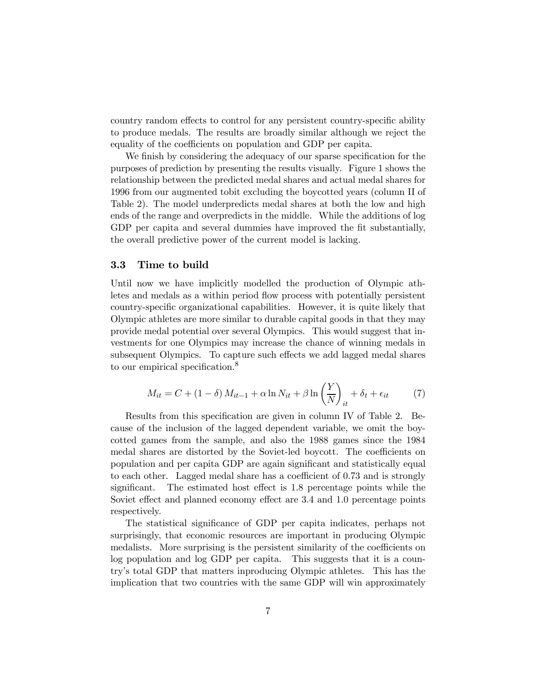country random effects to control for any persistent country-specific ability to produce medals. The results are broadly similar although we reject the equality of the coefficients on population and GDP per capita.

We finish by considering the adequacy of our sparse specification for the purposes of prediction by presenting the results visually. Figure 1 shows the relationship between the predicted medal shares and actual medal shares for 1996 from our augmented tobit excluding the boycotted years (column II of Table 2). The model underpredicts medal shares at both the low and high ends of the range and overpredicts in the middle. While the additions of log GDP per capita and several dummies have improved the fit substantially, the overall predictive power of the current model is lacking.

#### 3.3 Time to build

Until now we have implicitly modelled the production of Olympic athletes and medals as a within period flow process with potentially persistent country-specific organizational capabilities. However, it is quite likely that Olympic athletes are more similar to durable capital goods in that they may provide medal potential over several Olympics. This would suggest that investments for one Olympics may increase the chance of winning medals in subsequent Olympics. To capture such effects we add lagged medal shares to our empirical specification.<sup>8</sup>

$$
M_{it} = C + (1 - \delta) M_{it-1} + \alpha \ln N_{it} + \beta \ln \left(\frac{Y}{N}\right)_{it} + \delta_t + \epsilon_{it} \tag{7}
$$

Results from this specification are given in column IV of Table 2. Because of the inclusion of the lagged dependent variable, we omit the boycotted games from the sample, and also the 1988 games since the 1984 medal shares are distorted by the Soviet-led boycott. The coefficients on population and per capita GDP are again significant and statistically equal to each other. Lagged medal share has a coefficient of 0.73 and is strongly significant. The estimated host effect is 1.8 percentage points while the Soviet effect and planned economy effect are 3.4 and 1.0 percentage points respectively.

The statistical significance of GDP per capita indicates, perhaps not surprisingly, that economic resources are important in producing Olympic medalists. More surprising is the persistent similarity of the coefficients on log population and log GDP per capita. This suggests that it is a country's total GDP that matters inproducing Olympic athletes. This has the implication that two countries with the same GDP will win approximately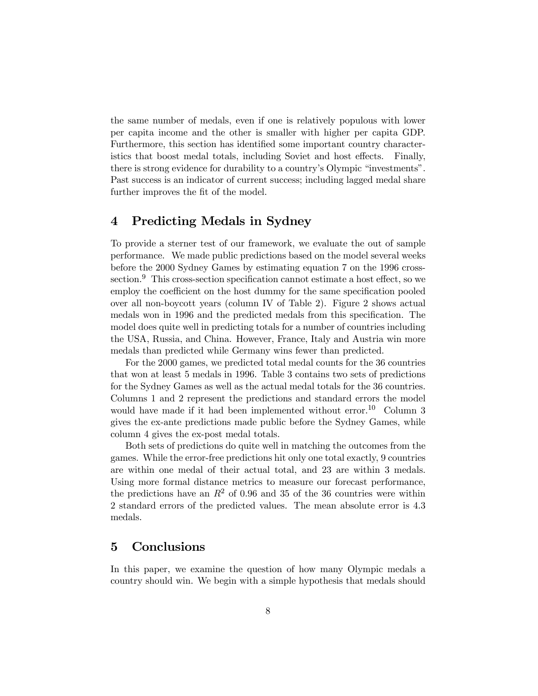the same number of medals, even if one is relatively populous with lower per capita income and the other is smaller with higher per capita GDP. Furthermore, this section has identified some important country characteristics that boost medal totals, including Soviet and host effects. Finally, there is strong evidence for durability to a country's Olympic "investments". Past success is an indicator of current success; including lagged medal share further improves the fit of the model.

# 4 Predicting Medals in Sydney

To provide a sterner test of our framework, we evaluate the out of sample performance. We made public predictions based on the model several weeks before the 2000 Sydney Games by estimating equation 7 on the 1996 crosssection.<sup>9</sup> This cross-section specification cannot estimate a host effect, so we employ the coefficient on the host dummy for the same specification pooled over all non-boycott years (column IV of Table 2). Figure 2 shows actual medals won in 1996 and the predicted medals from this specification. The model does quite well in predicting totals for a number of countries including the USA, Russia, and China. However, France, Italy and Austria win more medals than predicted while Germany wins fewer than predicted.

For the 2000 games, we predicted total medal counts for the 36 countries that won at least 5 medals in 1996. Table 3 contains two sets of predictions for the Sydney Games as well as the actual medal totals for the 36 countries. Columns 1 and 2 represent the predictions and standard errors the model would have made if it had been implemented without error.<sup>10</sup> Column 3 gives the ex-ante predictions made public before the Sydney Games, while column 4 gives the ex-post medal totals.

Both sets of predictions do quite well in matching the outcomes from the games. While the error-free predictions hit only one total exactly, 9 countries are within one medal of their actual total, and 23 are within 3 medals. Using more formal distance metrics to measure our forecast performance, the predictions have an  $R^2$  of 0.96 and 35 of the 36 countries were within 2 standard errors of the predicted values. The mean absolute error is 4.3 medals.

### 5 Conclusions

In this paper, we examine the question of how many Olympic medals a country should win. We begin with a simple hypothesis that medals should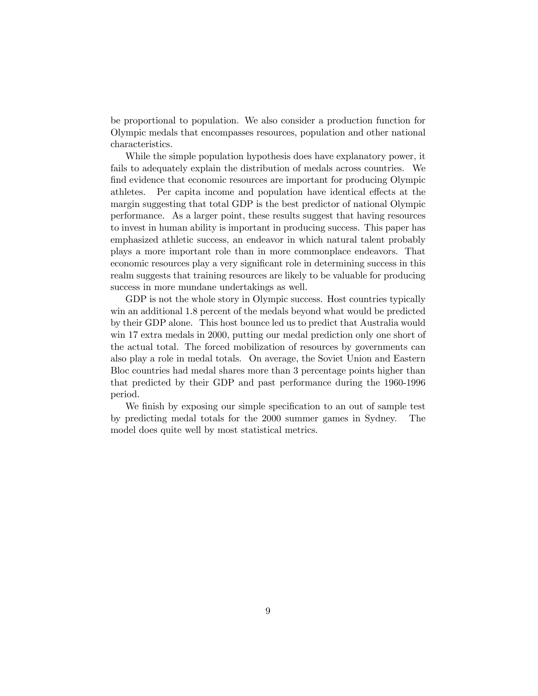be proportional to population. We also consider a production function for Olympic medals that encompasses resources, population and other national characteristics.

While the simple population hypothesis does have explanatory power, it fails to adequately explain the distribution of medals across countries. We find evidence that economic resources are important for producing Olympic athletes. Per capita income and population have identical effects at the margin suggesting that total GDP is the best predictor of national Olympic performance. As a larger point, these results suggest that having resources to invest in human ability is important in producing success. This paper has emphasized athletic success, an endeavor in which natural talent probably plays a more important role than in more commonplace endeavors. That economic resources play a very significant role in determining success in this realm suggests that training resources are likely to be valuable for producing success in more mundane undertakings as well.

GDP is not the whole story in Olympic success. Host countries typically win an additional 1.8 percent of the medals beyond what would be predicted by their GDP alone. This host bounce led us to predict that Australia would win 17 extra medals in 2000, putting our medal prediction only one short of the actual total. The forced mobilization of resources by governments can also play a role in medal totals. On average, the Soviet Union and Eastern Bloc countries had medal shares more than 3 percentage points higher than that predicted by their GDP and past performance during the 1960-1996 period.

We finish by exposing our simple specification to an out of sample test by predicting medal totals for the 2000 summer games in Sydney. The model does quite well by most statistical metrics.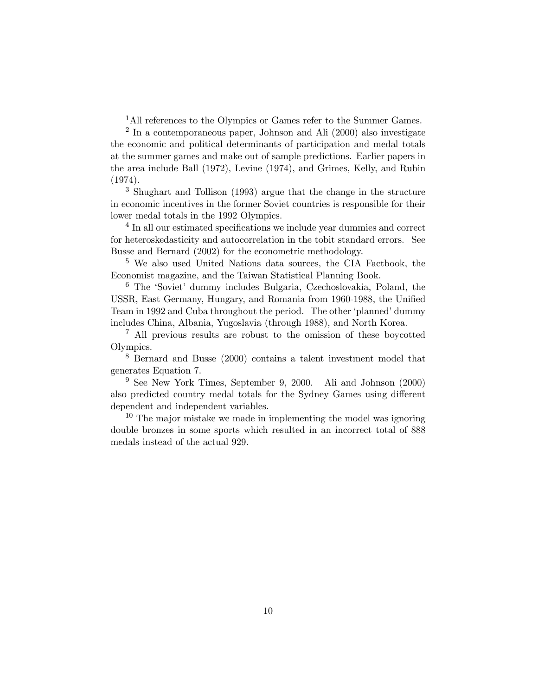<sup>1</sup>All references to the Olympics or Games refer to the Summer Games.

 $2 \text{ In a contemporaneous paper, Johnson and Ali} (2000)$  also investigate the economic and political determinants of participation and medal totals at the summer games and make out of sample predictions. Earlier papers in the area include Ball (1972), Levine (1974), and Grimes, Kelly, and Rubin (1974).

<sup>3</sup> Shughart and Tollison (1993) argue that the change in the structure in economic incentives in the former Soviet countries is responsible for their lower medal totals in the 1992 Olympics.

<sup>4</sup> In all our estimated specifications we include year dummies and correct for heteroskedasticity and autocorrelation in the tobit standard errors. See Busse and Bernard (2002) for the econometric methodology.

<sup>5</sup> We also used United Nations data sources, the CIA Factbook, the Economist magazine, and the Taiwan Statistical Planning Book.

<sup>6</sup> The 'Soviet' dummy includes Bulgaria, Czechoslovakia, Poland, the USSR, East Germany, Hungary, and Romania from 1960-1988, the Unified Team in 1992 and Cuba throughout the period. The other 'planned' dummy includes China, Albania, Yugoslavia (through 1988), and North Korea.

<sup>7</sup> All previous results are robust to the omission of these boycotted Olympics.

<sup>8</sup> Bernard and Busse (2000) contains a talent investment model that generates Equation 7.

<sup>9</sup> See New York Times, September 9, 2000. Ali and Johnson (2000) also predicted country medal totals for the Sydney Games using different dependent and independent variables.

 $10$  The major mistake we made in implementing the model was ignoring double bronzes in some sports which resulted in an incorrect total of 888 medals instead of the actual 929.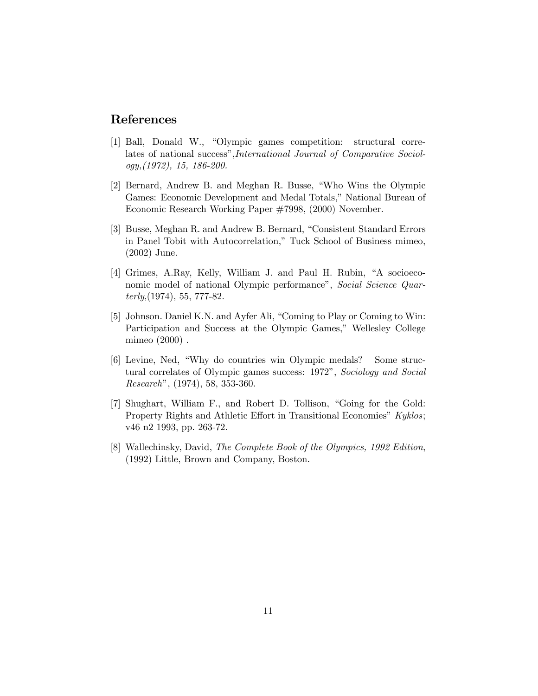### References

- [1] Ball, Donald W., "Olympic games competition: structural correlates of national success",International Journal of Comparative Sociology,(1972), 15, 186-200.
- [2] Bernard, Andrew B. and Meghan R. Busse, "Who Wins the Olympic Games: Economic Development and Medal Totals," National Bureau of Economic Research Working Paper #7998, (2000) November.
- [3] Busse, Meghan R. and Andrew B. Bernard, "Consistent Standard Errors in Panel Tobit with Autocorrelation," Tuck School of Business mimeo, (2002) June.
- [4] Grimes, A.Ray, Kelly, William J. and Paul H. Rubin, "A socioeconomic model of national Olympic performance", Social Science Quar $terly, (1974), 55, 777-82.$
- [5] Johnson. Daniel K.N. and Ayfer Ali, "Coming to Play or Coming to Win: Participation and Success at the Olympic Games," Wellesley College mimeo (2000) .
- [6] Levine, Ned, "Why do countries win Olympic medals? Some structural correlates of Olympic games success: 1972", Sociology and Social Research", (1974), 58, 353-360.
- [7] Shughart, William F., and Robert D. Tollison, "Going for the Gold: Property Rights and Athletic Effort in Transitional Economies" Kyklos; v46 n2 1993, pp. 263-72.
- [8] Wallechinsky, David, The Complete Book of the Olympics, 1992 Edition, (1992) Little, Brown and Company, Boston.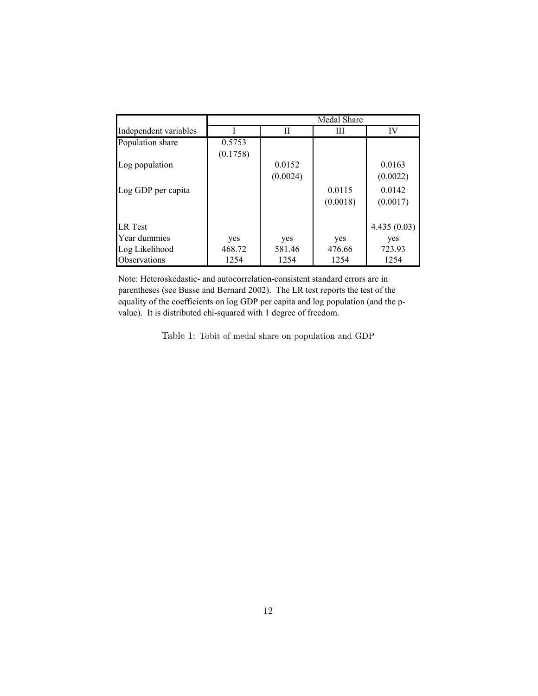|                       | Medal Share |          |          |             |
|-----------------------|-------------|----------|----------|-------------|
| Independent variables |             | Н        | Ш        | IV          |
| Population share      | 0.5753      |          |          |             |
|                       | (0.1758)    |          |          |             |
| Log population        |             | 0.0152   |          | 0.0163      |
|                       |             | (0.0024) |          | (0.0022)    |
| Log GDP per capita    |             |          | 0.0115   | 0.0142      |
|                       |             |          | (0.0018) | (0.0017)    |
|                       |             |          |          |             |
| <b>LR</b> Test        |             |          |          | 4.435(0.03) |
| Year dummies          | yes         | yes      | yes      | yes         |
| Log Likelihood        | 468.72      | 581.46   | 476.66   | 723.93      |
| Observations          | 1254        | 1254     | 1254     | 1254        |

Note: Heteroskedastic- and autocorrelation-consistent standard errors are in parentheses (see Busse and Bernard 2002). The LR test reports the test of the equality of the coefficients on log GDP per capita and log population (and the pvalue). It is distributed chi-squared with 1 degree of freedom.

Table 1: Tobit of medal share on population and GDP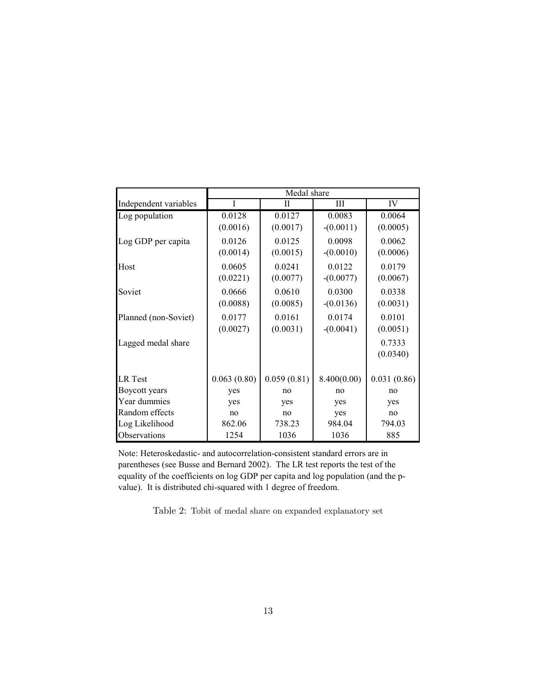|                       | Medal share |             |             |             |
|-----------------------|-------------|-------------|-------------|-------------|
| Independent variables | I           | Н           | Ш           | IV          |
| Log population        | 0.0128      | 0.0127      | 0.0083      | 0.0064      |
|                       | (0.0016)    | (0.0017)    | $-(0.0011)$ | (0.0005)    |
| Log GDP per capita    | 0.0126      | 0.0125      | 0.0098      | 0.0062      |
|                       | (0.0014)    | (0.0015)    | $-(0.0010)$ | (0.0006)    |
| Host                  | 0.0605      | 0.0241      | 0.0122      | 0.0179      |
|                       | (0.0221)    | (0.0077)    | $-(0.0077)$ | (0.0067)    |
| Soviet                | 0.0666      | 0.0610      | 0.0300      | 0.0338      |
|                       | (0.0088)    | (0.0085)    | $-(0.0136)$ | (0.0031)    |
| Planned (non-Soviet)  | 0.0177      | 0.0161      | 0.0174      | 0.0101      |
|                       | (0.0027)    | (0.0031)    | $-(0.0041)$ | (0.0051)    |
| Lagged medal share    |             |             |             | 0.7333      |
|                       |             |             |             | (0.0340)    |
|                       |             |             |             |             |
| <b>LR</b> Test        | 0.063(0.80) | 0.059(0.81) | 8.400(0.00) | 0.031(0.86) |
| Boycott years         | yes         | no          | no          | no          |
| Year dummies          | yes         | yes         | yes         | yes         |
| Random effects        | no          | no          | yes         | no          |
| Log Likelihood        | 862.06      | 738.23      | 984.04      | 794.03      |
| Observations          | 1254        | 1036        | 1036        | 885         |

Note: Heteroskedastic- and autocorrelation-consistent standard errors are in parentheses (see Busse and Bernard 2002). The LR test reports the test of the equality of the coefficients on log GDP per capita and log population (and the pvalue). It is distributed chi-squared with 1 degree of freedom.

Table 2: Tobit of medal share on expanded explanatory set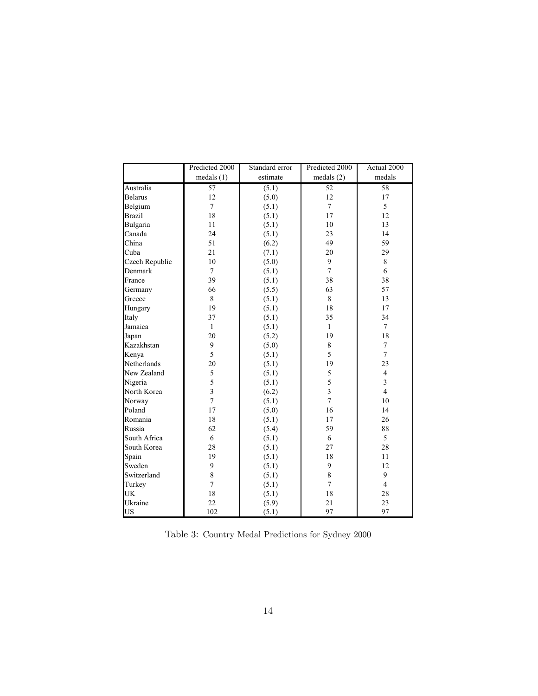|                | Predicted 2000          | Standard error | Predicted 2000  | Actual 2000    |
|----------------|-------------------------|----------------|-----------------|----------------|
|                | medals(1)               | estimate       | medals(2)       | medals         |
| Australia      | $\overline{57}$         | (5.1)          | $\overline{52}$ | 58             |
| <b>Belarus</b> | 12                      | (5.0)          | 12              | 17             |
| Belgium        | $\overline{7}$          | (5.1)          | $\overline{7}$  | 5              |
| <b>Brazil</b>  | 18                      | (5.1)          | 17              | 12             |
| Bulgaria       | 11                      | (5.1)          | 10              | 13             |
| Canada         | 24                      | (5.1)          | 23              | 14             |
| China          | 51                      | (6.2)          | 49              | 59             |
| Cuba           | 21                      | (7.1)          | 20              | 29             |
| Czech Republic | 10                      | (5.0)          | 9               | 8              |
| Denmark        | $\overline{7}$          | (5.1)          | $\overline{7}$  | 6              |
| France         | 39                      | (5.1)          | 38              | 38             |
| Germany        | 66                      | (5.5)          | 63              | 57             |
| Greece         | 8                       | (5.1)          | 8               | 13             |
| Hungary        | 19                      | (5.1)          | 18              | 17             |
| Italy          | 37                      | (5.1)          | 35              | 34             |
| Jamaica        | $\mathbf{1}$            | (5.1)          | $\mathbf{1}$    | $\tau$         |
| Japan          | 20                      | (5.2)          | 19              | 18             |
| Kazakhstan     | 9                       | (5.0)          | $8\,$           | 7              |
| Kenya          | 5                       | (5.1)          | 5               | $\overline{7}$ |
| Netherlands    | 20                      | (5.1)          | 19              | 23             |
| New Zealand    | 5                       | (5.1)          | 5               | $\overline{4}$ |
| Nigeria        | 5                       | (5.1)          | 5               | 3              |
| North Korea    | $\overline{\mathbf{3}}$ | (6.2)          | $\overline{3}$  | $\overline{4}$ |
| Norway         | $\overline{7}$          | (5.1)          | $\overline{7}$  | 10             |
| Poland         | 17                      | (5.0)          | 16              | 14             |
| Romania        | 18                      | (5.1)          | 17              | 26             |
| Russia         | 62                      | (5.4)          | 59              | 88             |
| South Africa   | 6                       | (5.1)          | 6               | 5              |
| South Korea    | 28                      | (5.1)          | 27              | 28             |
| Spain          | 19                      | (5.1)          | 18              | 11             |
| Sweden         | 9                       | (5.1)          | 9               | 12             |
| Switzerland    | 8                       | (5.1)          | 8               | 9              |
| Turkey         | $\overline{7}$          | (5.1)          | $\overline{7}$  | $\overline{4}$ |
| UK             | 18                      | (5.1)          | 18              | 28             |
| Ukraine        | 22                      | (5.9)          | 21              | 23             |
| US             | 102                     | (5.1)          | 97              | 97             |

Table 3: Country Medal Predictions for Sydney 2000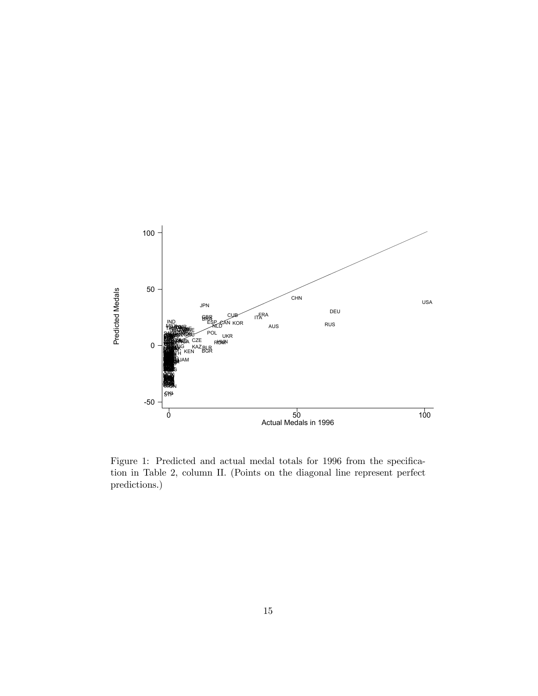

Figure 1: Predicted and actual medal totals for 1996 from the specification in Table 2, column II. (Points on the diagonal line represent perfect predictions.)